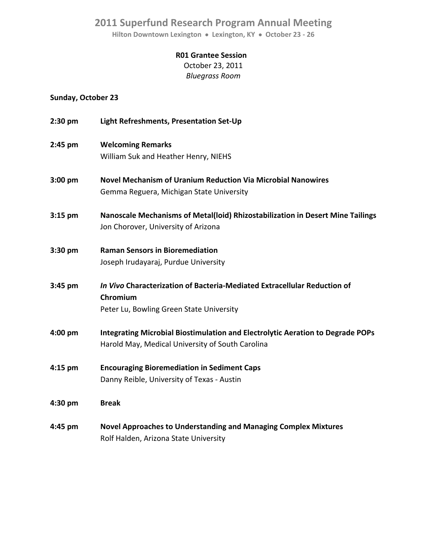## **2011 Superfund Research Program Annual Meeting**

**Hilton Downtown Lexington Lexington, KY October 23 ‐ 26**

## **R01 Grantee Session**

October 23, 2011 *Bluegrass Room*

## **Sunday, October 23**

| 2:30 pm           | Light Refreshments, Presentation Set-Up                                                                                            |
|-------------------|------------------------------------------------------------------------------------------------------------------------------------|
| 2:45 pm           | <b>Welcoming Remarks</b><br>William Suk and Heather Henry, NIEHS                                                                   |
| $3:00 \text{ pm}$ | <b>Novel Mechanism of Uranium Reduction Via Microbial Nanowires</b><br>Gemma Reguera, Michigan State University                    |
| $3:15$ pm         | Nanoscale Mechanisms of Metal(loid) Rhizostabilization in Desert Mine Tailings<br>Jon Chorover, University of Arizona              |
| $3:30 \text{ pm}$ | <b>Raman Sensors in Bioremediation</b><br>Joseph Irudayaraj, Purdue University                                                     |
| 3:45 pm           | In Vivo Characterization of Bacteria-Mediated Extracellular Reduction of<br>Chromium<br>Peter Lu, Bowling Green State University   |
| 4:00 pm           | Integrating Microbial Biostimulation and Electrolytic Aeration to Degrade POPs<br>Harold May, Medical University of South Carolina |
| 4:15 pm           | <b>Encouraging Bioremediation in Sediment Caps</b><br>Danny Reible, University of Texas - Austin                                   |
| 4:30 pm           | <b>Break</b>                                                                                                                       |
| 4:45 pm           | <b>Novel Approaches to Understanding and Managing Complex Mixtures</b><br>Rolf Halden, Arizona State University                    |